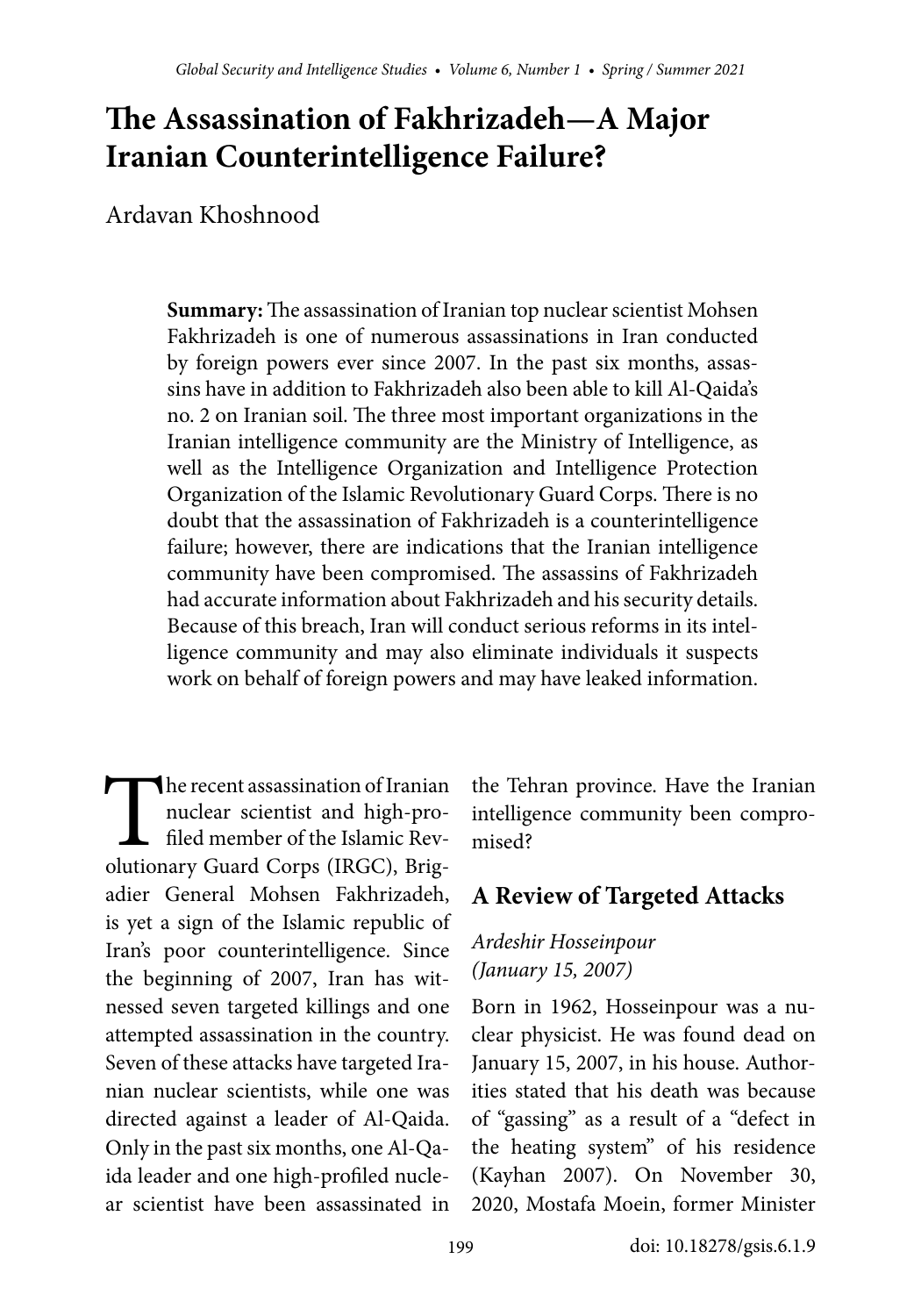# **The Assassination of Fakhrizadeh—A Major Iranian Counterintelligence Failure?**

Ardavan Khoshnood

**Summary:** The assassination of Iranian top nuclear scientist Mohsen Fakhrizadeh is one of numerous assassinations in Iran conducted by foreign powers ever since 2007. In the past six months, assassins have in addition to Fakhrizadeh also been able to kill Al-Qaida's no. 2 on Iranian soil. The three most important organizations in the Iranian intelligence community are the Ministry of Intelligence, as well as the Intelligence Organization and Intelligence Protection Organization of the Islamic Revolutionary Guard Corps. There is no doubt that the assassination of Fakhrizadeh is a counterintelligence failure; however, there are indications that the Iranian intelligence community have been compromised. The assassins of Fakhrizadeh had accurate information about Fakhrizadeh and his security details. Because of this breach, Iran will conduct serious reforms in its intelligence community and may also eliminate individuals it suspects work on behalf of foreign powers and may have leaked information.

The recent assassination of Iranian<br>
nuclear scientist and high-pro-<br>
filed member of the Islamic Rev-<br>
olutionary Guard Corps (IRGC), Brighe recent assassination of Iranian nuclear scientist and high-profiled member of the Islamic Revadier General Mohsen Fakhrizadeh, is yet a sign of the Islamic republic of Iran's poor counterintelligence. Since the beginning of 2007, Iran has witnessed seven targeted killings and one attempted assassination in the country. Seven of these attacks have targeted Iranian nuclear scientists, while one was directed against a leader of Al-Qaida. Only in the past six months, one Al-Qaida leader and one high-profiled nuclear scientist have been assassinated in

the Tehran province. Have the Iranian intelligence community been compromised?

# **A Review of Targeted Attacks**

#### Ardeshir Hosseinpour (January 15, 2007)

Born in 1962, Hosseinpour was a nuclear physicist. He was found dead on January 15, 2007, in his house. Authorities stated that his death was because of "gassing" as a result of a "defect in the heating system" of his residence (Kayhan 2007). On November 30, 2020, Mostafa Moein, former Minister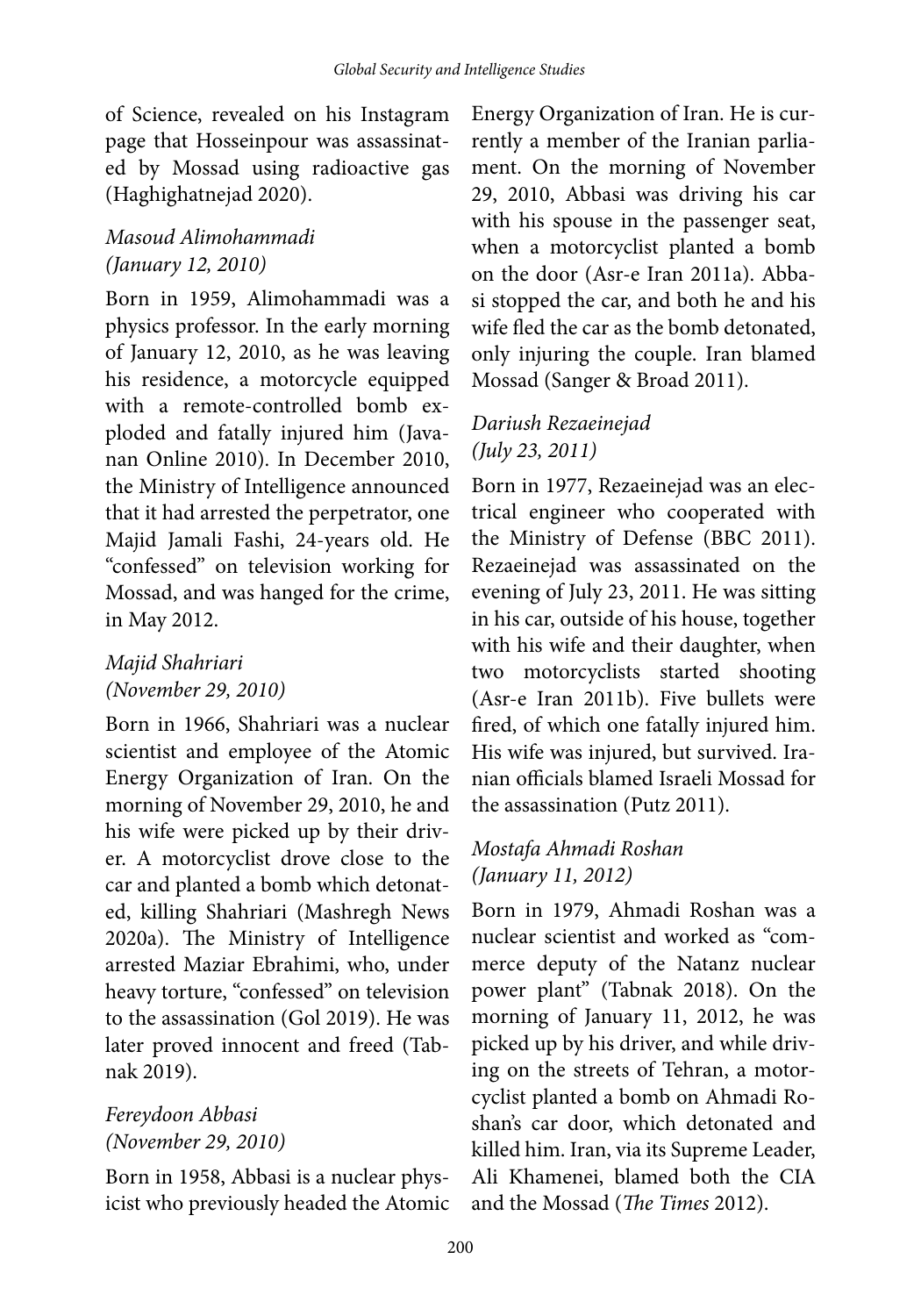of Science, revealed on his Instagram page that Hosseinpour was assassinated by Mossad using radioactive gas (Haghighatnejad 2020).

# Masoud Alimohammadi (January 12, 2010)

Born in 1959, Alimohammadi was a physics professor. In the early morning of January 12, 2010, as he was leaving his residence, a motorcycle equipped with a remote-controlled bomb exploded and fatally injured him (Javanan Online 2010). In December 2010, the Ministry of Intelligence announced that it had arrested the perpetrator, one Majid Jamali Fashi, 24-years old. He "confessed" on television working for Mossad, and was hanged for the crime, in May 2012.

## Majid Shahriari (November 29, 2010)

Born in 1966, Shahriari was a nuclear scientist and employee of the Atomic Energy Organization of Iran. On the morning of November 29, 2010, he and his wife were picked up by their driver. A motorcyclist drove close to the car and planted a bomb which detonated, killing Shahriari (Mashregh News 2020a). The Ministry of Intelligence arrested Maziar Ebrahimi, who, under heavy torture, "confessed" on television to the assassination (Gol 2019). He was later proved innocent and freed (Tabnak 2019).

#### Fereydoon Abbasi (November 29, 2010)

Born in 1958, Abbasi is a nuclear physicist who previously headed the Atomic

Energy Organization of Iran. He is currently a member of the Iranian parliament. On the morning of November 29, 2010, Abbasi was driving his car with his spouse in the passenger seat, when a motorcyclist planted a bomb on the door (Asr-e Iran 2011a). Abbasi stopped the car, and both he and his wife fled the car as the bomb detonated, only injuring the couple. Iran blamed Mossad (Sanger & Broad 2011).

### Dariush Rezaeinejad (July 23, 2011)

Born in 1977, Rezaeinejad was an electrical engineer who cooperated with the Ministry of Defense (BBC 2011). Rezaeinejad was assassinated on the evening of July 23, 2011. He was sitting in his car, outside of his house, together with his wife and their daughter, when two motorcyclists started shooting (Asr-e Iran 2011b). Five bullets were fired, of which one fatally injured him. His wife was injured, but survived. Iranian officials blamed Israeli Mossad for the assassination (Putz 2011).

## Mostafa Ahmadi Roshan (January 11, 2012)

Born in 1979, Ahmadi Roshan was a nuclear scientist and worked as "commerce deputy of the Natanz nuclear power plant" (Tabnak 2018). On the morning of January 11, 2012, he was picked up by his driver, and while driving on the streets of Tehran, a motorcyclist planted a bomb on Ahmadi Roshan's car door, which detonated and killed him. Iran, via its Supreme Leader, Ali Khamenei, blamed both the CIA and the Mossad (The Times 2012).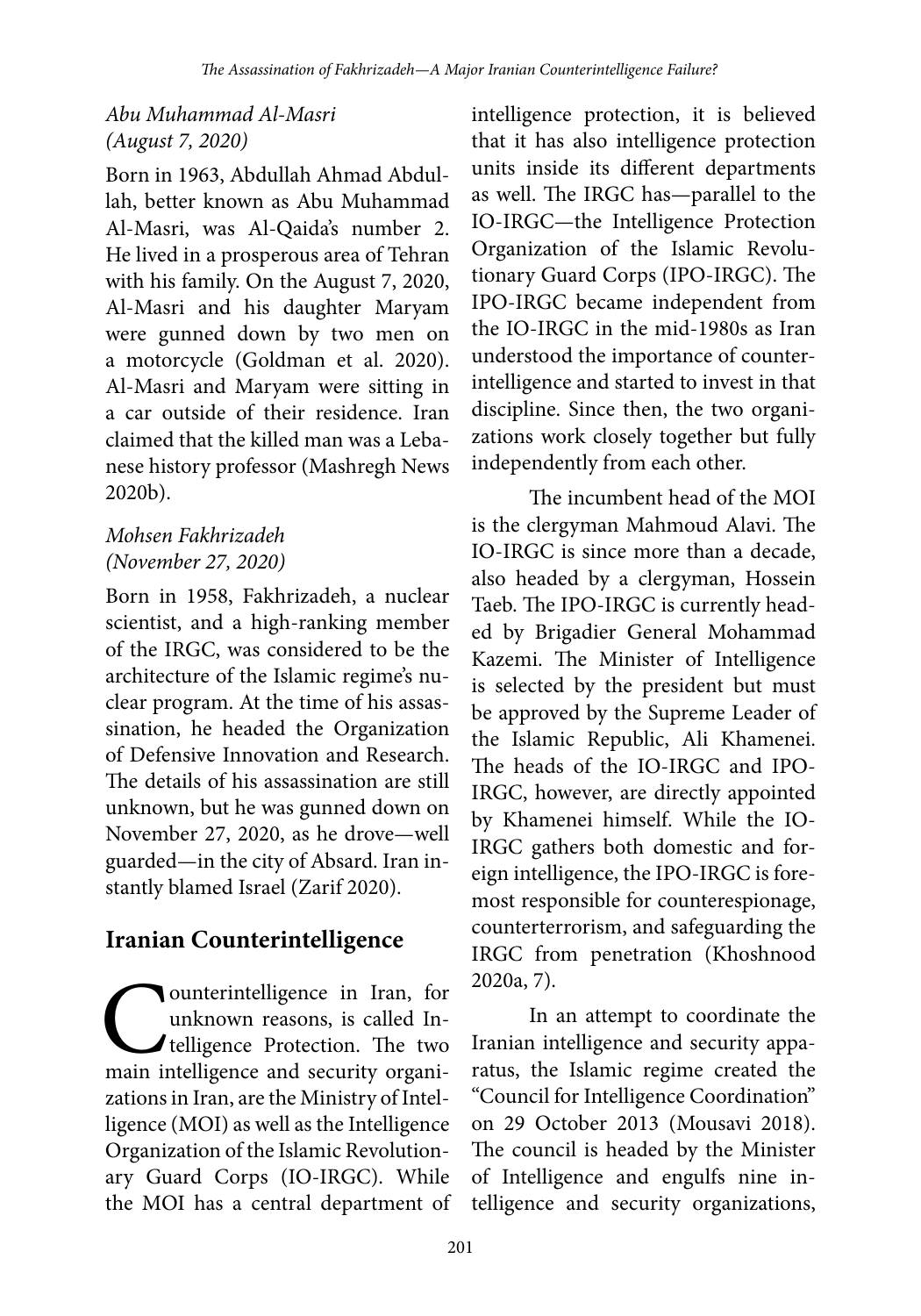## Abu Muhammad Al-Masri (August 7, 2020)

Born in 1963, Abdullah Ahmad Abdullah, better known as Abu Muhammad Al-Masri, was Al-Qaida's number 2. He lived in a prosperous area of Tehran with his family. On the August 7, 2020, Al-Masri and his daughter Maryam were gunned down by two men on a motorcycle (Goldman et al. 2020). Al-Masri and Maryam were sitting in a car outside of their residence. Iran claimed that the killed man was a Lebanese history professor (Mashregh News 2020b).

#### Mohsen Fakhrizadeh (November 27, 2020)

Born in 1958, Fakhrizadeh, a nuclear scientist, and a high-ranking member of the IRGC, was considered to be the architecture of the Islamic regime's nuclear program. At the time of his assassination, he headed the Organization of Defensive Innovation and Research. The details of his assassination are still unknown, but he was gunned down on November 27, 2020, as he drove—well guarded—in the city of Absard. Iran instantly blamed Israel (Zarif 2020).

# **Iranian Counterintelligence**

**C** ounterintelligence in Iran, for<br>telligence Protection. The two<br>main intelligence and security organiounterintelligence in Iran, for unknown reasons, is called Intelligence Protection. The two zations in Iran, are the Ministry of Intelligence (MOI) as well as the Intelligence Organization of the Islamic Revolutionary Guard Corps (IO-IRGC). While the MOI has a central department of intelligence protection, it is believed that it has also intelligence protection units inside its different departments as well. The IRGC has—parallel to the IO-IRGC—the Intelligence Protection Organization of the Islamic Revolutionary Guard Corps (IPO-IRGC). The IPO-IRGC became independent from the IO-IRGC in the mid-1980s as Iran understood the importance of counterintelligence and started to invest in that discipline. Since then, the two organizations work closely together but fully independently from each other.

The incumbent head of the MOI is the clergyman Mahmoud Alavi. The IO-IRGC is since more than a decade, also headed by a clergyman, Hossein Taeb. The IPO-IRGC is currently headed by Brigadier General Mohammad Kazemi. The Minister of Intelligence is selected by the president but must be approved by the Supreme Leader of the Islamic Republic, Ali Khamenei. The heads of the IO-IRGC and IPO-IRGC, however, are directly appointed by Khamenei himself. While the IO-IRGC gathers both domestic and foreign intelligence, the IPO-IRGC is foremost responsible for counterespionage, counterterrorism, and safeguarding the IRGC from penetration (Khoshnood 2020a, 7).

In an attempt to coordinate the Iranian intelligence and security apparatus, the Islamic regime created the "Council for Intelligence Coordination" on 29 October 2013 (Mousavi 2018). The council is headed by the Minister of Intelligence and engulfs nine intelligence and security organizations,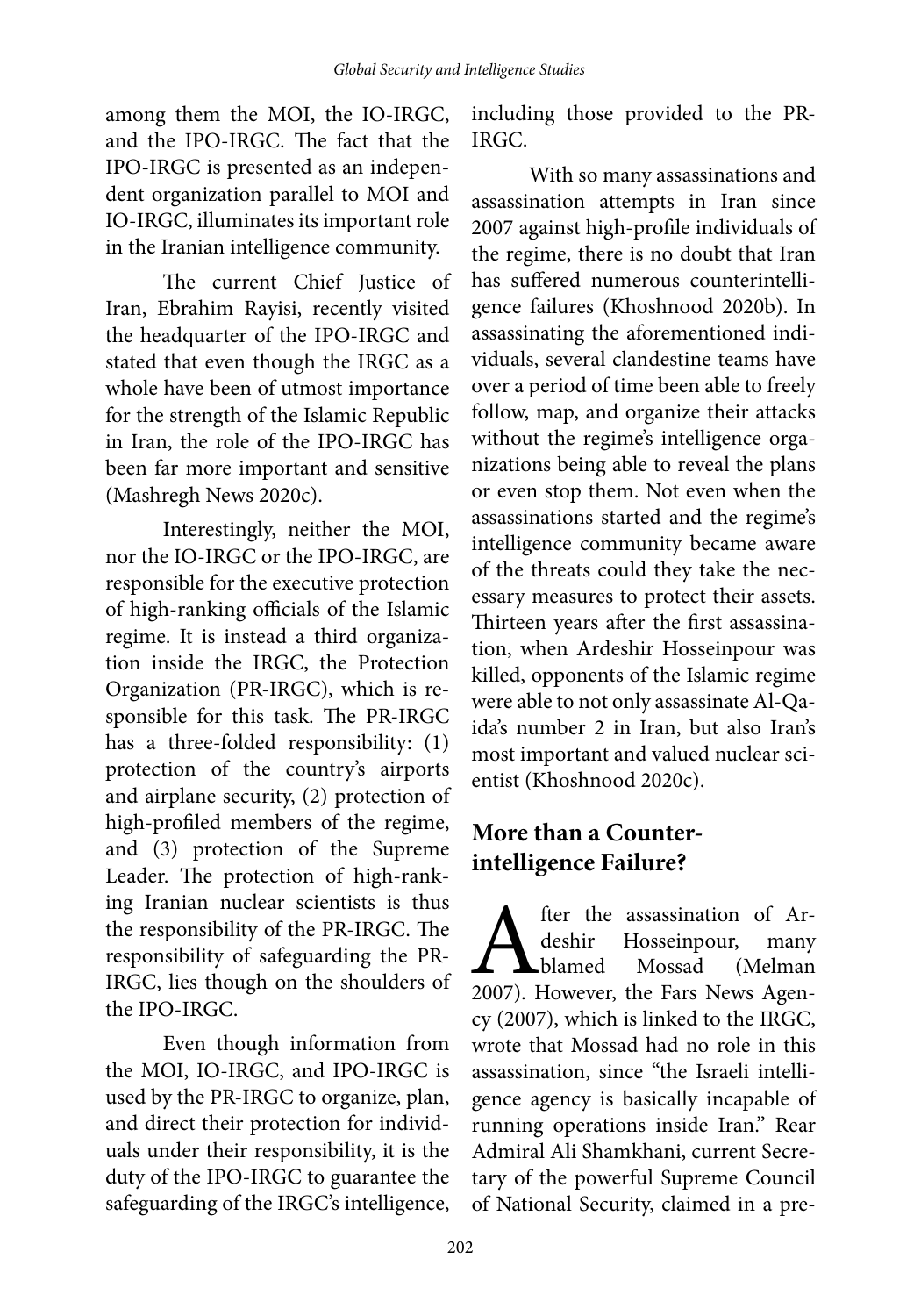among them the MOI, the IO-IRGC, and the IPO-IRGC. The fact that the IPO-IRGC is presented as an independent organization parallel to MOI and IO-IRGC, illuminates its important role in the Iranian intelligence community.

The current Chief Justice of Iran, Ebrahim Rayisi, recently visited the headquarter of the IPO-IRGC and stated that even though the IRGC as a whole have been of utmost importance for the strength of the Islamic Republic in Iran, the role of the IPO-IRGC has been far more important and sensitive (Mashregh News 2020c).

Interestingly, neither the MOI, nor the IO-IRGC or the IPO-IRGC, are responsible for the executive protection of high-ranking officials of the Islamic regime. It is instead a third organization inside the IRGC, the Protection Organization (PR-IRGC), which is responsible for this task. The PR-IRGC has a three-folded responsibility: (1) protection of the country's airports and airplane security, (2) protection of high-profiled members of the regime, and (3) protection of the Supreme Leader. The protection of high-ranking Iranian nuclear scientists is thus the responsibility of the PR-IRGC. The responsibility of safeguarding the PR-IRGC, lies though on the shoulders of the IPO-IRGC.

Even though information from the MOI, IO-IRGC, and IPO-IRGC is used by the PR-IRGC to organize, plan, and direct their protection for individuals under their responsibility, it is the duty of the IPO-IRGC to guarantee the safeguarding of the IRGC's intelligence,

including those provided to the PR-IRGC.

With so many assassinations and assassination attempts in Iran since 2007 against high-profile individuals of the regime, there is no doubt that Iran has suffered numerous counterintelligence failures (Khoshnood 2020b). In assassinating the aforementioned individuals, several clandestine teams have over a period of time been able to freely follow, map, and organize their attacks without the regime's intelligence organizations being able to reveal the plans or even stop them. Not even when the assassinations started and the regime's intelligence community became aware of the threats could they take the necessary measures to protect their assets. Thirteen years after the first assassination, when Ardeshir Hosseinpour was killed, opponents of the Islamic regime were able to not only assassinate Al-Qaida's number 2 in Iran, but also Iran's most important and valued nuclear scientist (Khoshnood 2020c).

# **More than a Counterintelligence Failure?**

**A** fter the assassination of Ar-<br>deshir Hosseinpour, many<br>2007). However, the Fars News Agenfter the assassination of Ardeshir Hosseinpour, many blamed Mossad (Melman cy (2007), which is linked to the IRGC, wrote that Mossad had no role in this assassination, since "the Israeli intelligence agency is basically incapable of running operations inside Iran." Rear Admiral Ali Shamkhani, current Secretary of the powerful Supreme Council of National Security, claimed in a pre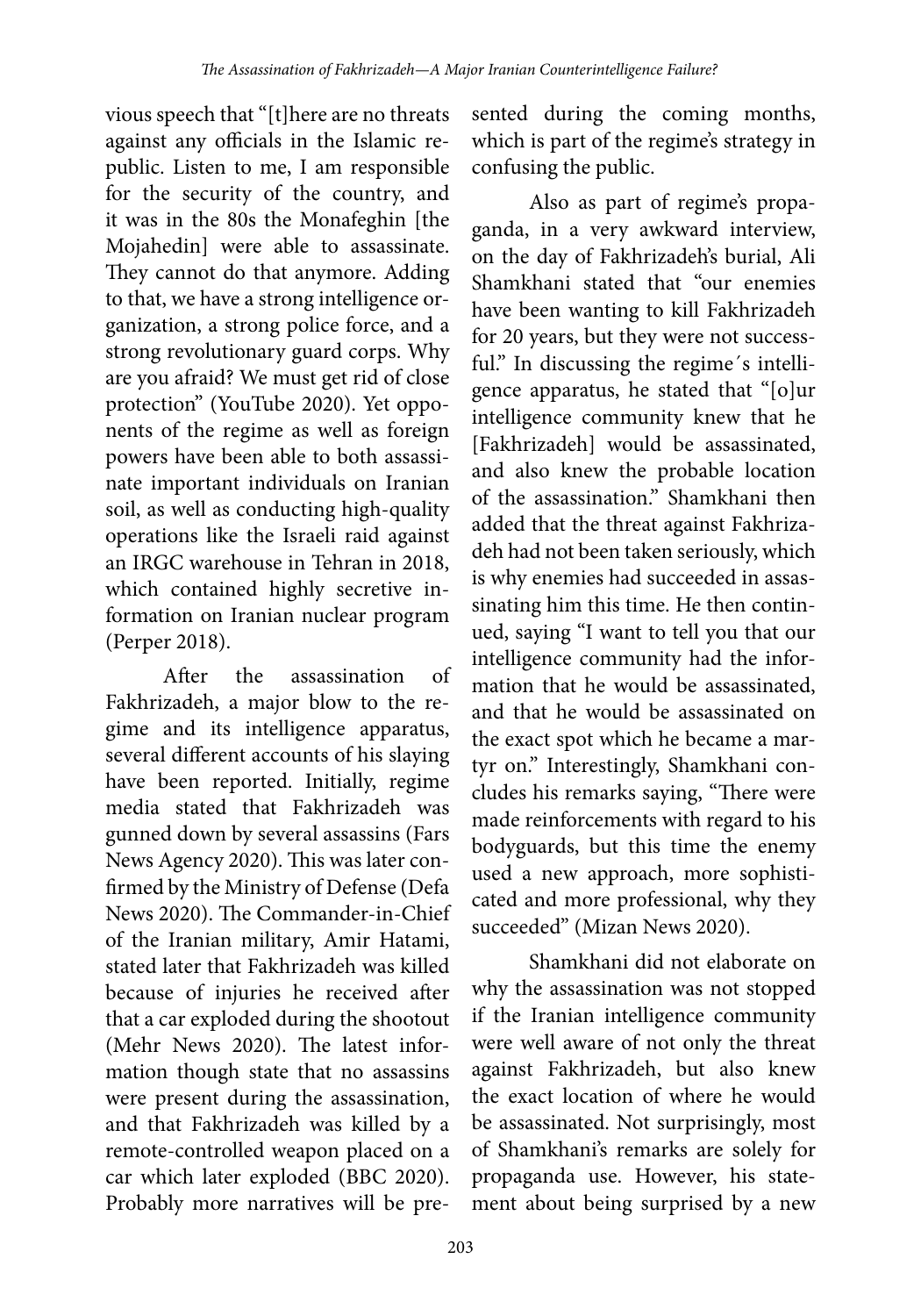vious speech that "[t]here are no threats against any officials in the Islamic republic. Listen to me, I am responsible for the security of the country, and it was in the 80s the Monafeghin [the Mojahedin] were able to assassinate. They cannot do that anymore. Adding to that, we have a strong intelligence organization, a strong police force, and a strong revolutionary guard corps. Why are you afraid? We must get rid of close protection" (YouTube 2020). Yet opponents of the regime as well as foreign powers have been able to both assassinate important individuals on Iranian soil, as well as conducting high-quality operations like the Israeli raid against an IRGC warehouse in Tehran in 2018, which contained highly secretive information on Iranian nuclear program (Perper 2018).

After the assassination of Fakhrizadeh, a major blow to the regime and its intelligence apparatus, several different accounts of his slaying have been reported. Initially, regime media stated that Fakhrizadeh was gunned down by several assassins (Fars News Agency 2020). This was later confirmed by the Ministry of Defense (Defa News 2020). The Commander-in-Chief of the Iranian military, Amir Hatami, stated later that Fakhrizadeh was killed because of injuries he received after that a car exploded during the shootout (Mehr News 2020). The latest information though state that no assassins were present during the assassination, and that Fakhrizadeh was killed by a remote-controlled weapon placed on a car which later exploded (BBC 2020). Probably more narratives will be pre-

sented during the coming months, which is part of the regime's strategy in confusing the public.

Also as part of regime's propaganda, in a very awkward interview, on the day of Fakhrizadeh's burial, Ali Shamkhani stated that "our enemies have been wanting to kill Fakhrizadeh for 20 years, but they were not successful." In discussing the regime's intelligence apparatus, he stated that "[o]ur intelligence community knew that he [Fakhrizadeh] would be assassinated, and also knew the probable location of the assassination." Shamkhani then added that the threat against Fakhrizadeh had not been taken seriously, which is why enemies had succeeded in assassinating him this time. He then continued, saying "I want to tell you that our intelligence community had the information that he would be assassinated, and that he would be assassinated on the exact spot which he became a martyr on." Interestingly, Shamkhani concludes his remarks saying, "There were made reinforcements with regard to his bodyguards, but this time the enemy used a new approach, more sophisticated and more professional, why they succeeded" (Mizan News 2020).

Shamkhani did not elaborate on why the assassination was not stopped if the Iranian intelligence community were well aware of not only the threat against Fakhrizadeh, but also knew the exact location of where he would be assassinated. Not surprisingly, most of Shamkhani's remarks are solely for propaganda use. However, his statement about being surprised by a new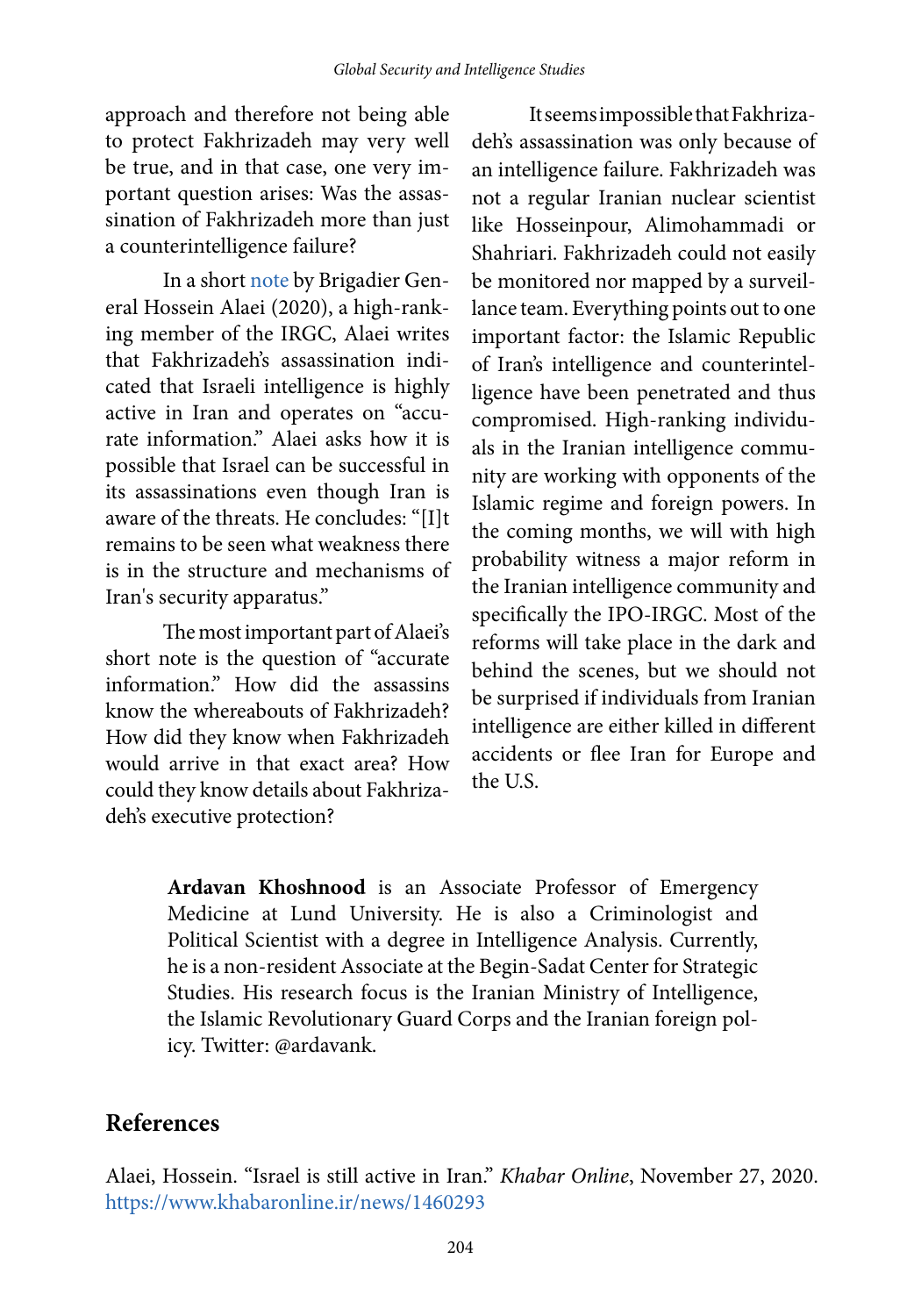approach and therefore not being able to protect Fakhrizadeh may very well be true, and in that case, one very important question arises: Was the assassination of Fakhrizadeh more than just a counterintelligence failure?

In a short [note](https://www.khabaronline.ir/news/1460293/%D8%A7%D8%B3%D8%B1%D8%A7%D8%A6%DB%8C%D9%84-%D9%87%D9%85%DA%86%D9%86%D8%A7%D9%86-%D8%AF%D8%B1-%D8%A7%DB%8C%D8%B1%D8%A7%D9%86-%D9%81%D8%B9%D8%A7%D9%84-%D8%A7%D8%B3%D8%AA) by Brigadier General Hossein Alaei (2020), a high-ranking member of the IRGC, Alaei writes that Fakhrizadeh's assassination indicated that Israeli intelligence is highly active in Iran and operates on "accurate information." Alaei asks how it is possible that Israel can be successful in its assassinations even though Iran is aware of the threats. He concludes: "[I]t remains to be seen what weakness there is in the structure and mechanisms of Iran's security apparatus."

The most important part of Alaei's short note is the question of "accurate information." How did the assassins know the whereabouts of Fakhrizadeh? How did they know when Fakhrizadeh would arrive in that exact area? How could they know details about Fakhrizadeh's executive protection?

It seems impossible that Fakhrizadeh's assassination was only because of an intelligence failure. Fakhrizadeh was not a regular Iranian nuclear scientist like Hosseinpour, Alimohammadi or Shahriari. Fakhrizadeh could not easily be monitored nor mapped by a surveillance team. Everything points out to one important factor: the Islamic Republic of Iran's intelligence and counterintelligence have been penetrated and thus compromised. High-ranking individuals in the Iranian intelligence community are working with opponents of the Islamic regime and foreign powers. In the coming months, we will with high probability witness a major reform in the Iranian intelligence community and specifically the IPO-IRGC. Most of the reforms will take place in the dark and behind the scenes, but we should not be surprised if individuals from Iranian intelligence are either killed in different accidents or flee Iran for Europe and the U.S.

**Ardavan Khoshnood** is an Associate Professor of Emergency Medicine at Lund University. He is also a Criminologist and Political Scientist with a degree in Intelligence Analysis. Currently, he is a non-resident Associate at the Begin-Sadat Center for Strategic Studies. His research focus is the Iranian Ministry of Intelligence, the Islamic Revolutionary Guard Corps and the Iranian foreign policy. Twitter: @ardavank.

# **References**

Alaei, Hossein. "Israel is still active in Iran." Khabar Online, November 27, 2020. <https://www.khabaronline.ir/news/1460293>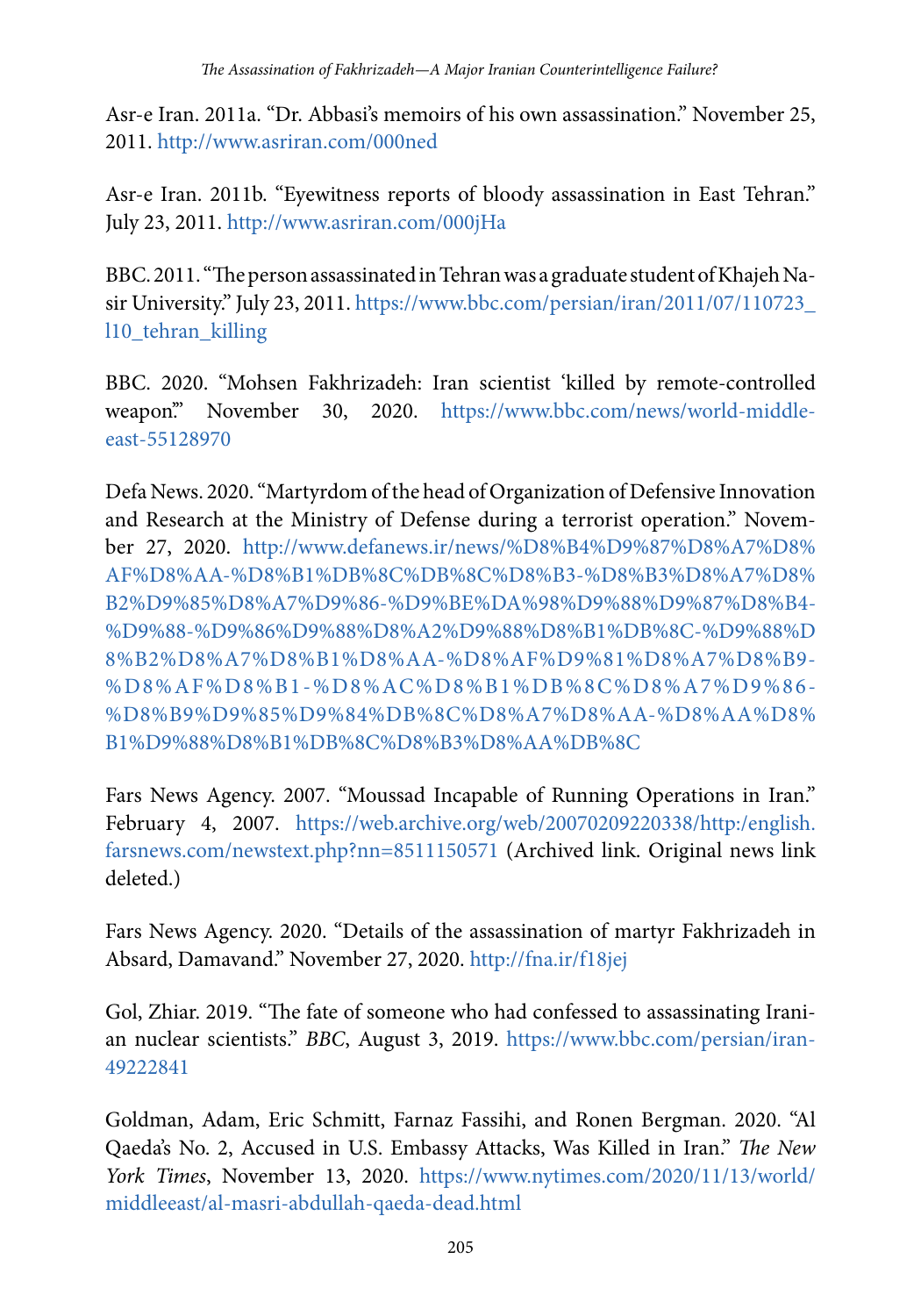Asr-e Iran. 2011a. "Dr. Abbasi's memoirs of his own assassination." November 25, 2011.<http://www.asriran.com/000ned>

Asr-e Iran. 2011b. "Eyewitness reports of bloody assassination in East Tehran." July 23, 2011.<http://www.asriran.com/000jHa>

BBC. 2011. "The person assassinated in Tehran was a graduate student of Khajeh Nasir University." July 23, 2011. [https://www.bbc.com/persian/iran/2011/07/110723\\_](https://www.bbc.com/persian/iran/2011/07/110723_l10_tehran_killing) [l10\\_tehran\\_killing](https://www.bbc.com/persian/iran/2011/07/110723_l10_tehran_killing)

BBC. 2020. "Mohsen Fakhrizadeh: Iran scientist 'killed by remote-controlled weapon." November 30, 2020. [https://www.bbc.com/news/world-middle](https://www.bbc.com/news/world-middle-east-55128970)[east-55128970](https://www.bbc.com/news/world-middle-east-55128970)

Defa News. 2020. "Martyrdom of the head of Organization of Defensive Innovation and Research at the Ministry of Defense during a terrorist operation." November 27, 2020. [http://www.defanews.ir/news/%D8%B4%D9%87%D8%A7%D8%](http://www.defanews.ir/news/%D8%B4%D9%87%D8%A7%D8%AF%D8%AA-%D8%B1%DB%8C%DB%8C%D8%B3-%D8%B3%D8%A7%D8%B2%D9%85%D8%A7%D9%86-%D9%BE%DA%98%D9%88%D9%87%D8%B4-%D9%88-%D9%86%D9%88%D8%A2%D9%88%D8%B1%DB%8C-%D9%88%D8%B2%D8%A7%D8%B1%D8%AA-%D8%AF%D9%81%D8%A7%D8%B9-%D8%AF%D8%B1-%D8%AC%D8%B1%DB%8C%D8%A7%D9%86-%D8%B9%D9%85%D9%84%DB%8C%D8%A7%D8%AA-%D8%AA%D8%B1%D9%88%D8%B1%DB%8C%D8%B3%D8%AA%DB%8C) [AF%D8%AA-%D8%B1%DB%8C%DB%8C%D8%B3-%D8%B3%D8%A7%D8%](http://www.defanews.ir/news/%D8%B4%D9%87%D8%A7%D8%AF%D8%AA-%D8%B1%DB%8C%DB%8C%D8%B3-%D8%B3%D8%A7%D8%B2%D9%85%D8%A7%D9%86-%D9%BE%DA%98%D9%88%D9%87%D8%B4-%D9%88-%D9%86%D9%88%D8%A2%D9%88%D8%B1%DB%8C-%D9%88%D8%B2%D8%A7%D8%B1%D8%AA-%D8%AF%D9%81%D8%A7%D8%B9-%D8%AF%D8%B1-%D8%AC%D8%B1%DB%8C%D8%A7%D9%86-%D8%B9%D9%85%D9%84%DB%8C%D8%A7%D8%AA-%D8%AA%D8%B1%D9%88%D8%B1%DB%8C%D8%B3%D8%AA%DB%8C) [B2%D9%85%D8%A7%D9%86-%D9%BE%DA%98%D9%88%D9%87%D8%B4-](http://www.defanews.ir/news/%D8%B4%D9%87%D8%A7%D8%AF%D8%AA-%D8%B1%DB%8C%DB%8C%D8%B3-%D8%B3%D8%A7%D8%B2%D9%85%D8%A7%D9%86-%D9%BE%DA%98%D9%88%D9%87%D8%B4-%D9%88-%D9%86%D9%88%D8%A2%D9%88%D8%B1%DB%8C-%D9%88%D8%B2%D8%A7%D8%B1%D8%AA-%D8%AF%D9%81%D8%A7%D8%B9-%D8%AF%D8%B1-%D8%AC%D8%B1%DB%8C%D8%A7%D9%86-%D8%B9%D9%85%D9%84%DB%8C%D8%A7%D8%AA-%D8%AA%D8%B1%D9%88%D8%B1%DB%8C%D8%B3%D8%AA%DB%8C) [%D9%88-%D9%86%D9%88%D8%A2%D9%88%D8%B1%DB%8C-%D9%88%D](http://www.defanews.ir/news/%D8%B4%D9%87%D8%A7%D8%AF%D8%AA-%D8%B1%DB%8C%DB%8C%D8%B3-%D8%B3%D8%A7%D8%B2%D9%85%D8%A7%D9%86-%D9%BE%DA%98%D9%88%D9%87%D8%B4-%D9%88-%D9%86%D9%88%D8%A2%D9%88%D8%B1%DB%8C-%D9%88%D8%B2%D8%A7%D8%B1%D8%AA-%D8%AF%D9%81%D8%A7%D8%B9-%D8%AF%D8%B1-%D8%AC%D8%B1%DB%8C%D8%A7%D9%86-%D8%B9%D9%85%D9%84%DB%8C%D8%A7%D8%AA-%D8%AA%D8%B1%D9%88%D8%B1%DB%8C%D8%B3%D8%AA%DB%8C) [8%B2%D8%A7%D8%B1%D8%AA-%D8%AF%D9%81%D8%A7%D8%B9-](http://www.defanews.ir/news/%D8%B4%D9%87%D8%A7%D8%AF%D8%AA-%D8%B1%DB%8C%DB%8C%D8%B3-%D8%B3%D8%A7%D8%B2%D9%85%D8%A7%D9%86-%D9%BE%DA%98%D9%88%D9%87%D8%B4-%D9%88-%D9%86%D9%88%D8%A2%D9%88%D8%B1%DB%8C-%D9%88%D8%B2%D8%A7%D8%B1%D8%AA-%D8%AF%D9%81%D8%A7%D8%B9-%D8%AF%D8%B1-%D8%AC%D8%B1%DB%8C%D8%A7%D9%86-%D8%B9%D9%85%D9%84%DB%8C%D8%A7%D8%AA-%D8%AA%D8%B1%D9%88%D8%B1%DB%8C%D8%B3%D8%AA%DB%8C) [%D8%AF%D8%B1-%D8%AC%D8%B1%DB%8C%D8%A7%D9%86-](http://www.defanews.ir/news/%D8%B4%D9%87%D8%A7%D8%AF%D8%AA-%D8%B1%DB%8C%DB%8C%D8%B3-%D8%B3%D8%A7%D8%B2%D9%85%D8%A7%D9%86-%D9%BE%DA%98%D9%88%D9%87%D8%B4-%D9%88-%D9%86%D9%88%D8%A2%D9%88%D8%B1%DB%8C-%D9%88%D8%B2%D8%A7%D8%B1%D8%AA-%D8%AF%D9%81%D8%A7%D8%B9-%D8%AF%D8%B1-%D8%AC%D8%B1%DB%8C%D8%A7%D9%86-%D8%B9%D9%85%D9%84%DB%8C%D8%A7%D8%AA-%D8%AA%D8%B1%D9%88%D8%B1%DB%8C%D8%B3%D8%AA%DB%8C) [%D8%B9%D9%85%D9%84%DB%8C%D8%A7%D8%AA-%D8%AA%D8%](http://www.defanews.ir/news/%D8%B4%D9%87%D8%A7%D8%AF%D8%AA-%D8%B1%DB%8C%DB%8C%D8%B3-%D8%B3%D8%A7%D8%B2%D9%85%D8%A7%D9%86-%D9%BE%DA%98%D9%88%D9%87%D8%B4-%D9%88-%D9%86%D9%88%D8%A2%D9%88%D8%B1%DB%8C-%D9%88%D8%B2%D8%A7%D8%B1%D8%AA-%D8%AF%D9%81%D8%A7%D8%B9-%D8%AF%D8%B1-%D8%AC%D8%B1%DB%8C%D8%A7%D9%86-%D8%B9%D9%85%D9%84%DB%8C%D8%A7%D8%AA-%D8%AA%D8%B1%D9%88%D8%B1%DB%8C%D8%B3%D8%AA%DB%8C) [B1%D9%88%D8%B1%DB%8C%D8%B3%D8%AA%DB%8C](http://www.defanews.ir/news/%D8%B4%D9%87%D8%A7%D8%AF%D8%AA-%D8%B1%DB%8C%DB%8C%D8%B3-%D8%B3%D8%A7%D8%B2%D9%85%D8%A7%D9%86-%D9%BE%DA%98%D9%88%D9%87%D8%B4-%D9%88-%D9%86%D9%88%D8%A2%D9%88%D8%B1%DB%8C-%D9%88%D8%B2%D8%A7%D8%B1%D8%AA-%D8%AF%D9%81%D8%A7%D8%B9-%D8%AF%D8%B1-%D8%AC%D8%B1%DB%8C%D8%A7%D9%86-%D8%B9%D9%85%D9%84%DB%8C%D8%A7%D8%AA-%D8%AA%D8%B1%D9%88%D8%B1%DB%8C%D8%B3%D8%AA%DB%8C)

Fars News Agency. 2007. "Moussad Incapable of Running Operations in Iran." February 4, 2007. [https://web.archive.org/web/20070209220338/http:/english.](https://web.archive.org/web/20070209220338/http:/english.farsnews.com/newstext.php?nn=8511150571) [farsnews.com/newstext.php?nn=8511150571](https://web.archive.org/web/20070209220338/http:/english.farsnews.com/newstext.php?nn=8511150571) (Archived link. Original news link deleted.)

Fars News Agency. 2020. "Details of the assassination of martyr Fakhrizadeh in Absard, Damavand." November 27, 2020.<http://fna.ir/f18jej>

Gol, Zhiar. 2019. "The fate of someone who had confessed to assassinating Iranian nuclear scientists." BBC, August 3, 2019. [https://www.bbc.com/persian/iran-](https://www.bbc.com/persian/iran-49222841)[49222841](https://www.bbc.com/persian/iran-49222841)

Goldman, Adam, Eric Schmitt, Farnaz Fassihi, and Ronen Bergman. 2020. "Al Qaeda's No. 2, Accused in U.S. Embassy Attacks, Was Killed in Iran." The New York Times, November 13, 2020. [https://www.nytimes.com/2020/11/13/world/](https://www.nytimes.com/2020/11/13/world/middleeast/al-masri-abdullah-qaeda-dead.html) [middleeast/al-masri-abdullah-qaeda-dead.html](https://www.nytimes.com/2020/11/13/world/middleeast/al-masri-abdullah-qaeda-dead.html)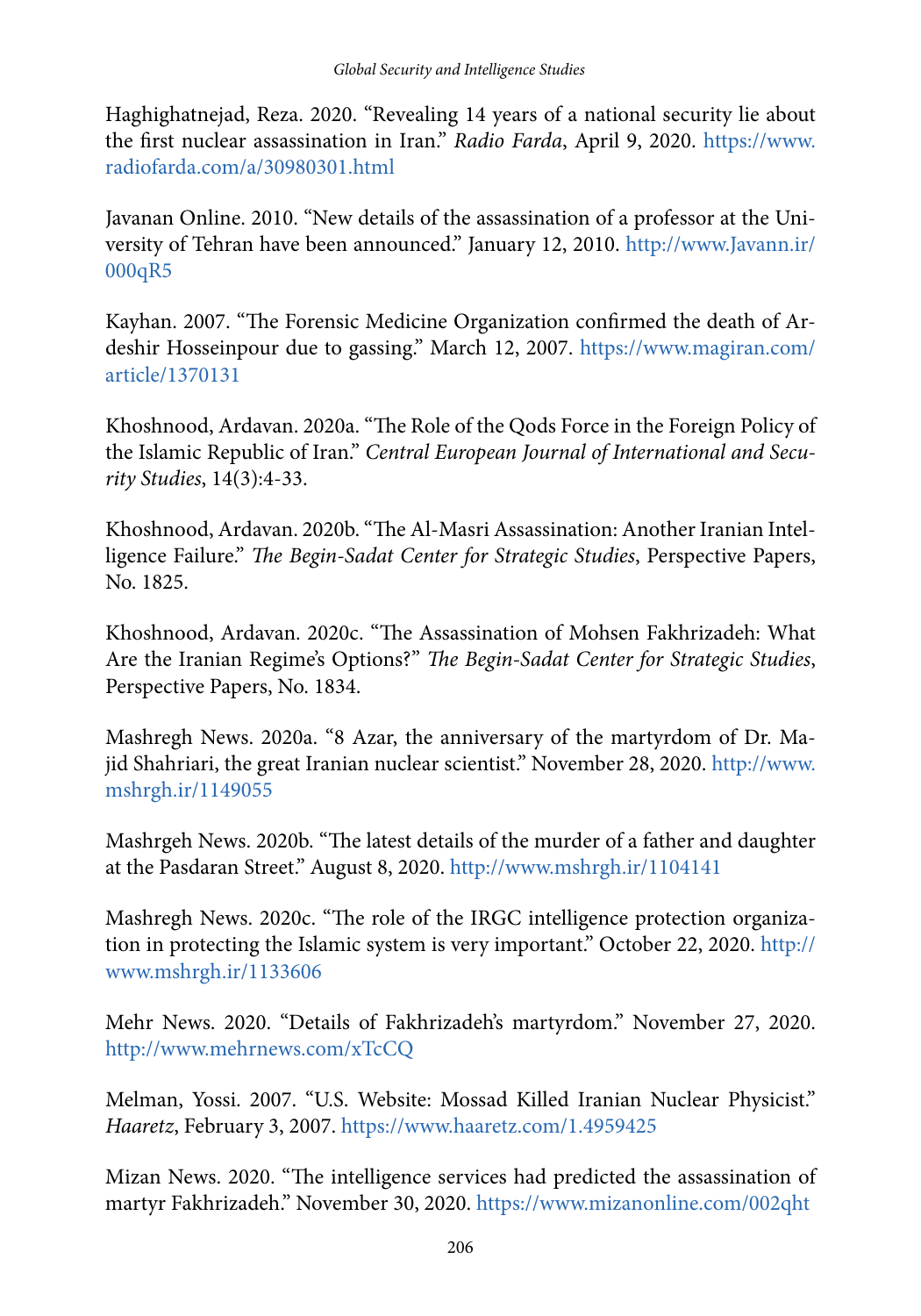Haghighatnejad, Reza. 2020. "Revealing 14 years of a national security lie about the first nuclear assassination in Iran." Radio Farda, April 9, 2020. [https://www.](https://www.radiofarda.com/a/30980301.html) [radiofarda.com/a/30980301.html](https://www.radiofarda.com/a/30980301.html)

Javanan Online. 2010. "New details of the assassination of a professor at the University of Tehran have been announced." January 12, 2010. [http://www.Javann.ir/](http://www.javann.ir/000qR5) [000qR5](http://www.javann.ir/000qR5)

Kayhan. 2007. "The Forensic Medicine Organization confirmed the death of Ardeshir Hosseinpour due to gassing." March 12, 2007. [https://www.magiran.com/](https://www.magiran.com/article/1370131) [article/1370131](https://www.magiran.com/article/1370131)

Khoshnood, Ardavan. 2020a. "The Role of the Qods Force in the Foreign Policy of the Islamic Republic of Iran." Central European Journal of International and Security Studies, 14(3):4-33.

Khoshnood, Ardavan. 2020b. "The Al-Masri Assassination: Another Iranian Intelligence Failure." The Begin-Sadat Center for Strategic Studies, Perspective Papers, No. 1825.

Khoshnood, Ardavan. 2020c. "The Assassination of Mohsen Fakhrizadeh: What Are the Iranian Regime's Options?" The Begin-Sadat Center for Strategic Studies, Perspective Papers, No. 1834.

Mashregh News. 2020a. "8 Azar, the anniversary of the martyrdom of Dr. Majid Shahriari, the great Iranian nuclear scientist." November 28, 2020. [http://www.](http://www.mshrgh.ir/1149055) [mshrgh.ir/1149055](http://www.mshrgh.ir/1149055)

Mashrgeh News. 2020b. "The latest details of the murder of a father and daughter at the Pasdaran Street." August 8, 2020.<http://www.mshrgh.ir/1104141>

Mashregh News. 2020c. "The role of the IRGC intelligence protection organization in protecting the Islamic system is very important." October 22, 2020. [http://](http://www.mshrgh.ir/1133606) [www.mshrgh.ir/1133606](http://www.mshrgh.ir/1133606)

Mehr News. 2020. "Details of Fakhrizadeh's martyrdom." November 27, 2020. <http://www.mehrnews.com/xTcCQ>

Melman, Yossi. 2007. "U.S. Website: Mossad Killed Iranian Nuclear Physicist." Haaretz, February 3, 2007. <https://www.haaretz.com/1.4959425>

Mizan News. 2020. "The intelligence services had predicted the assassination of martyr Fakhrizadeh." November 30, 2020. <https://www.mizanonline.com/002qht>